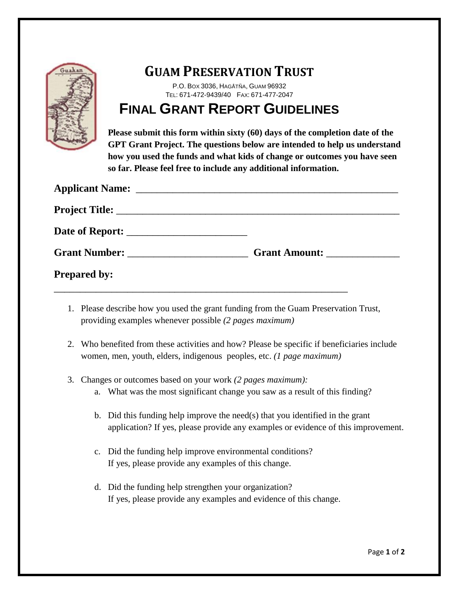

## **GUAM PRESERVATION TRUST**

P.O. BOX 3036, HAGÅTÑA, GUAM 96932 TEL: 671-472-9439/40 FAX: 671-477-2047

## **FINAL GRANT REPORT GUIDELINES**

**Please submit this form within sixty (60) days of the completion date of the GPT Grant Project. The questions below are intended to help us understand how you used the funds and what kids of change or outcomes you have seen so far. Please feel free to include any additional information.**

| <b>Applicant Name:</b> |                      |
|------------------------|----------------------|
|                        |                      |
|                        |                      |
| Grant Number:          | <b>Grant Amount:</b> |
| <b>Prepared by:</b>    |                      |
|                        |                      |

- 1. Please describe how you used the grant funding from the Guam Preservation Trust, providing examples whenever possible *(2 pages maximum)*
- 2. Who benefited from these activities and how? Please be specific if beneficiaries include women, men, youth, elders, indigenous peoples, etc. *(1 page maximum)*
- 3. Changes or outcomes based on your work *(2 pages maximum):*
	- a. What was the most significant change you saw as a result of this finding?
	- b. Did this funding help improve the need(s) that you identified in the grant application? If yes, please provide any examples or evidence of this improvement.
	- c. Did the funding help improve environmental conditions? If yes, please provide any examples of this change.
	- d. Did the funding help strengthen your organization? If yes, please provide any examples and evidence of this change.